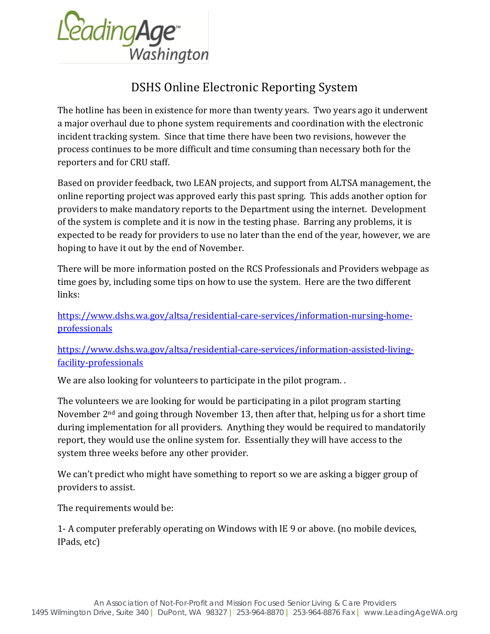

## DSHS Online Electronic Reporting System

The hotline has been in existence for more than twenty years. Two years ago it underwent a major overhaul due to phone system requirements and coordination with the electronic incident tracking system. Since that time there have been two revisions, however the process continues to be more difficult and time consuming than necessary both for the reporters and for CRU staff.

Based on provider feedback, two LEAN projects, and support from ALTSA management, the online reporting project was approved early this past spring. This adds another option for providers to make mandatory reports to the Department using the internet. Development of the system is complete and it is now in the testing phase. Barring any problems, it is expected to be ready for providers to use no later than the end of the year, however, we are hoping to have it out by the end of November.

There will be more information posted on the RCS Professionals and Providers webpage as time goes by, including some tips on how to use the system. Here are the two different links:

[https://www.dshs.wa.gov/altsa/residential-care-services/information-nursing-home](https://www.dshs.wa.gov/altsa/residential-care-services/information-nursing-home-professionals)[professionals](https://www.dshs.wa.gov/altsa/residential-care-services/information-nursing-home-professionals)

[https://www.dshs.wa.gov/altsa/residential-care-services/information-assisted-living](https://www.dshs.wa.gov/altsa/residential-care-services/information-assisted-living-facility-professionals)[facility-professionals](https://www.dshs.wa.gov/altsa/residential-care-services/information-assisted-living-facility-professionals)

We are also looking for volunteers to participate in the pilot program...

The volunteers we are looking for would be participating in a pilot program starting November 2nd and going through November 13, then after that, helping us for a short time during implementation for all providers. Anything they would be required to mandatorily report, they would use the online system for. Essentially they will have access to the system three weeks before any other provider.

We can't predict who might have something to report so we are asking a bigger group of providers to assist.

The requirements would be:

1- A computer preferably operating on Windows with IE 9 or above. (no mobile devices, IPads, etc)